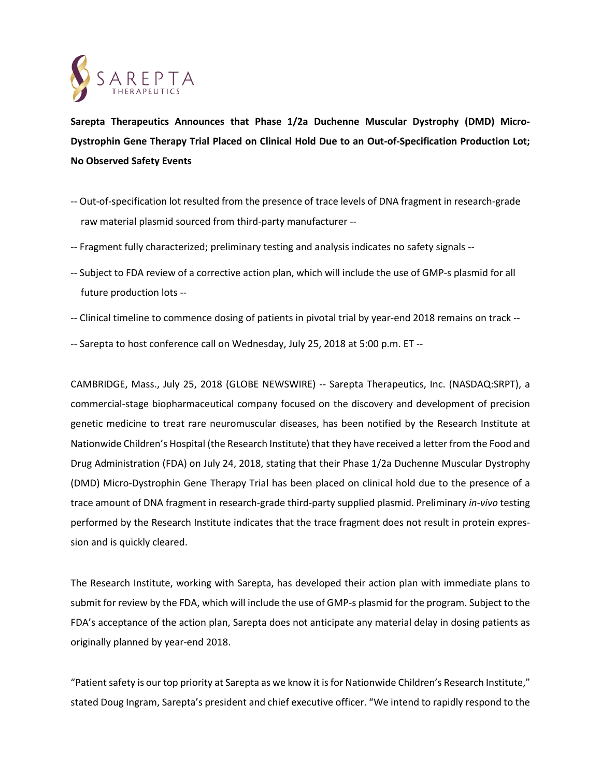

**Sarepta Therapeutics Announces that Phase 1/2a Duchenne Muscular Dystrophy (DMD) Micro-Dystrophin Gene Therapy Trial Placed on Clinical Hold Due to an Out-of-Specification Production Lot; No Observed Safety Events**

- -- Out-of-specification lot resulted from the presence of trace levels of DNA fragment in research-grade . . raw material plasmid sourced from third-party manufacturer --
- -- Fragment fully characterized; preliminary testing and analysis indicates no safety signals --
- -- Subject to FDA review of a corrective action plan, which will include the use of GMP-s plasmid for all . future production lots --
- -- Clinical timeline to commence dosing of patients in pivotal trial by year-end 2018 remains on track --
- -- Sarepta to host conference call on Wednesday, July 25, 2018 at 5:00 p.m. ET --

CAMBRIDGE, Mass., July 25, 2018 (GLOBE NEWSWIRE) -- Sarepta Therapeutics, Inc. (NASDAQ:SRPT), a commercial-stage biopharmaceutical company focused on the discovery and development of precision genetic medicine to treat rare neuromuscular diseases, has been notified by the Research Institute at Nationwide Children's Hospital (the Research Institute) that they have received a letter from the Food and Drug Administration (FDA) on July 24, 2018, stating that their Phase 1/2a Duchenne Muscular Dystrophy (DMD) Micro-Dystrophin Gene Therapy Trial has been placed on clinical hold due to the presence of a trace amount of DNA fragment in research-grade third-party supplied plasmid. Preliminary *in-vivo* testing performed by the Research Institute indicates that the trace fragment does not result in protein expression and is quickly cleared.

The Research Institute, working with Sarepta, has developed their action plan with immediate plans to submit for review by the FDA, which will include the use of GMP-s plasmid for the program. Subject to the FDA's acceptance of the action plan, Sarepta does not anticipate any material delay in dosing patients as originally planned by year-end 2018.

"Patient safety is our top priority at Sarepta as we know it is for Nationwide Children's Research Institute," stated Doug Ingram, Sarepta's president and chief executive officer. "We intend to rapidly respond to the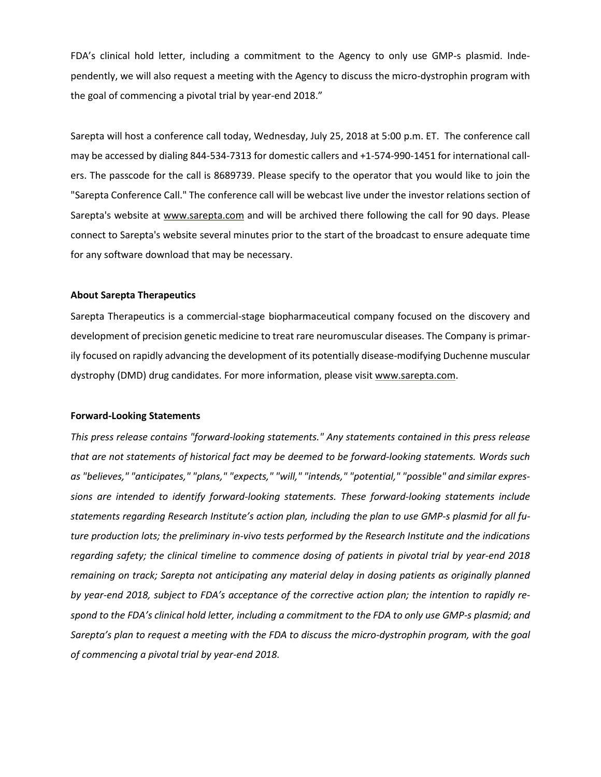FDA's clinical hold letter, including a commitment to the Agency to only use GMP-s plasmid. Independently, we will also request a meeting with the Agency to discuss the micro-dystrophin program with the goal of commencing a pivotal trial by year-end 2018."

Sarepta will host a conference call today, Wednesday, July 25, 2018 at 5:00 p.m. ET. The conference call may be accessed by dialing 844-534-7313 for domestic callers and +1-574-990-1451 for international callers. The passcode for the call is 8689739. Please specify to the operator that you would like to join the "Sarepta Conference Call." The conference call will be webcast live under the investor relations section of Sarepta's website at [www.sarepta.com](http://www.sarepta.com/) and will be archived there following the call for 90 days. Please connect to Sarepta's website several minutes prior to the start of the broadcast to ensure adequate time for any software download that may be necessary.

## **About Sarepta Therapeutics**

Sarepta Therapeutics is a commercial-stage biopharmaceutical company focused on the discovery and development of precision genetic medicine to treat rare neuromuscular diseases. The Company is primarily focused on rapidly advancing the development of its potentially disease-modifying Duchenne muscular dystrophy (DMD) drug candidates. For more information, please visit [www.sarepta.com.](http://www.sarepta.com/)

## **Forward-Looking Statements**

*This press release contains "forward-looking statements." Any statements contained in this press release that are not statements of historical fact may be deemed to be forward-looking statements. Words such as "believes," "anticipates," "plans," "expects," "will," "intends," "potential," "possible" and similar expressions are intended to identify forward-looking statements. These forward-looking statements include statements regarding Research Institute's action plan, including the plan to use GMP-s plasmid for all future production lots; the preliminary in-vivo tests performed by the Research Institute and the indications regarding safety; the clinical timeline to commence dosing of patients in pivotal trial by year-end 2018 remaining on track; Sarepta not anticipating any material delay in dosing patients as originally planned* by year-end 2018, subject to FDA's acceptance of the corrective action plan; the intention to rapidly respond to the FDA's clinical hold letter, including a commitment to the FDA to only use GMP-s plasmid; and *Sarepta's plan to request a meeting with the FDA to discuss the micro-dystrophin program, with the goal of commencing a pivotal trial by year-end 2018.*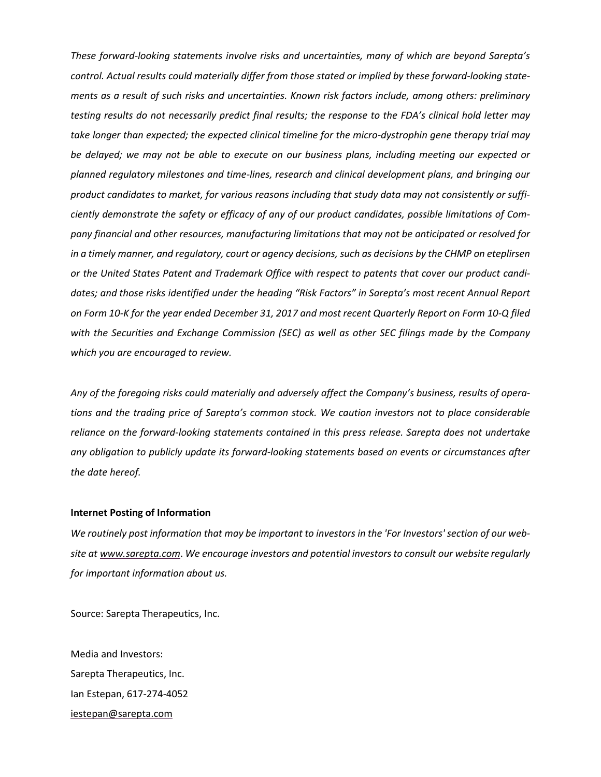*These forward-looking statements involve risks and uncertainties, many of which are beyond Sarepta's control. Actual results could materially differ from those stated or implied by these forward-looking statements as a result of such risks and uncertainties. Known risk factors include, among others: preliminary* testing results do not necessarily predict final results; the response to the FDA's clinical hold letter may *take longer than expected; the expected clinical timeline for the micro-dystrophin gene therapy trial may be delayed; we may not be able to execute on our business plans, including meeting our expected or planned regulatory milestones and time-lines, research and clinical development plans, and bringing our product candidates to market, for various reasons including that study data may not consistently or sufficiently demonstrate the safety or efficacy of any of our product candidates, possible limitations of Company financial and other resources, manufacturing limitations that may not be anticipated or resolved for* in a timely manner, and regulatory, court or agency decisions, such as decisions by the CHMP on eteplirsen *or the United States Patent and Trademark Office with respect to patents that cover our product candidates; and those risks identified under the heading "Risk Factors" in Sarepta's most recent Annual Report* on Form 10-K for the year ended December 31, 2017 and most recent Quarterly Report on Form 10-Q filed *with the Securities and Exchange Commission (SEC) as well as other SEC filings made by the Company which you are encouraged to review.*

Any of the foregoing risks could materially and adversely affect the Company's business, results of opera*tions and the trading price of Sarepta's common stock. We caution investors not to place considerable reliance on the forward-looking statements contained in this press release. Sarepta does not undertake any obligation to publicly update its forward-looking statements based on events or circumstances after the date hereof.*

## **Internet Posting of Information**

We routinely post information that may be important to investors in the 'For Investors' section of our web*site at [www.sarepta.com](http://www.sarepta.com/)*. *We encourage investors and potential investorsto consult our website regularly for important information about us.*

Source: Sarepta Therapeutics, Inc.

Media and Investors: Sarepta Therapeutics, Inc. Ian Estepan, 617-274-4052 [iestepan@sarepta.com](mailto:iestepan@sarepta.com)